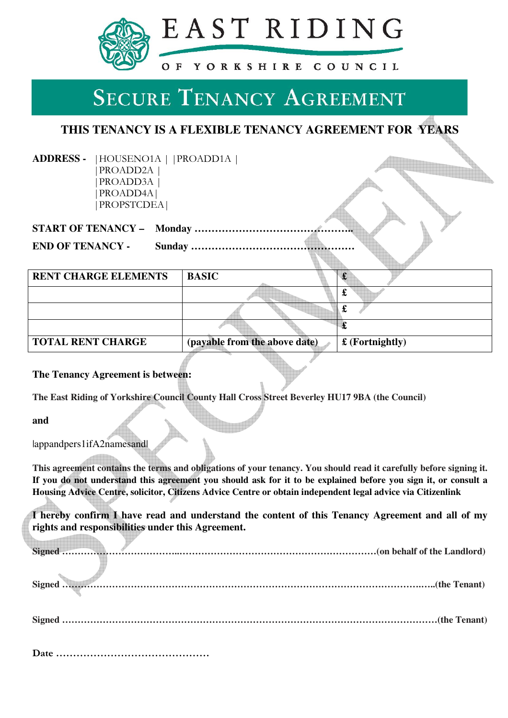

# **SECURE TENANCY AGREEMENT**

## **THIS TENANCY IS A FLEXIBLE TENANCY AGREEMENT FOR YEARS**

**ADDRESS -** |HOUSENO1A | |PROADD1A | |PROADD2A | |PROADD3A | |PROADD4A| |PROPSTCDEA|

| <b>END OF TENANCY -</b> |  |  |
|-------------------------|--|--|

| <b>RENT CHARGE ELEMENTS</b> | <b>BASIC</b>                  |                         |
|-----------------------------|-------------------------------|-------------------------|
|                             |                               | d.                      |
|                             |                               |                         |
|                             |                               |                         |
| <b>TOTAL RENT CHARGE</b>    | (payable from the above date) | $\pounds$ (Fortnightly) |

qind.

**The Tenancy Agreement is between:**

**The East Riding of Yorkshire Council County Hall Cross Street Beverley HU17 9BA (the Council)** 

**and** 

|appandpers1ifA2namesand|

<u> a stalini i svoji stari prostavanje prostavanje prostavanje prostavanje prostavanje prostavanje prostavanje p</u>

**This agreement contains the terms and obligations of your tenancy. You should read it carefully before signing it. If you do not understand this agreement you should ask for it to be explained before you sign it, or consult a Housing Advice Centre, solicitor, Citizens Advice Centre or obtain independent legal advice via Citizenlink** 

**I hereby confirm I have read and understand the content of this Tenancy Agreement and all of my rights and responsibilities under this Agreement.**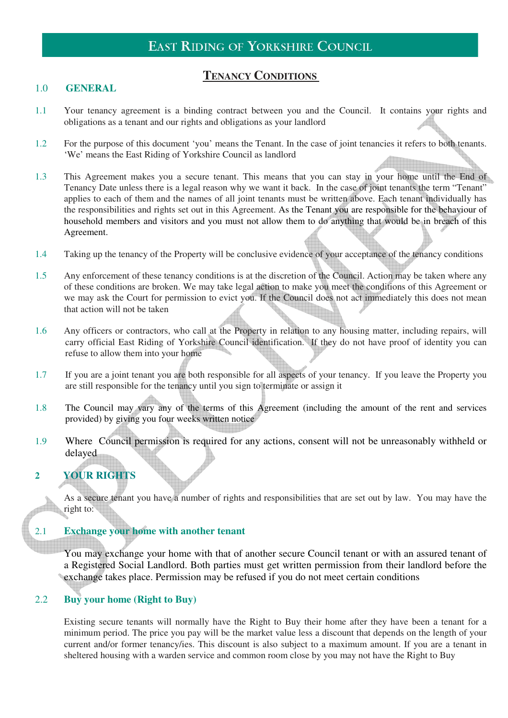## **TENANCY CONDITIONS**

#### 1.0 **GENERAL**

- 1.1 Your tenancy agreement is a binding contract between you and the Council. It contains your rights and obligations as a tenant and our rights and obligations as your landlord
- 1.2 For the purpose of this document 'you' means the Tenant. In the case of joint tenancies it refers to both tenants. 'We' means the East Riding of Yorkshire Council as landlord
- 1.3 This Agreement makes you a secure tenant. This means that you can stay in your home until the End of Tenancy Date unless there is a legal reason why we want it back. In the case of joint tenants the term "Tenant" applies to each of them and the names of all joint tenants must be written above. Each tenant individually has the responsibilities and rights set out in this Agreement. As the Tenant you are responsible for the behaviour of household members and visitors and you must not allow them to do anything that would be in breach of this Agreement.
- 1.4 Taking up the tenancy of the Property will be conclusive evidence of your acceptance of the tenancy conditions
- 1.5 Any enforcement of these tenancy conditions is at the discretion of the Council. Action may be taken where any of these conditions are broken. We may take legal action to make you meet the conditions of this Agreement or we may ask the Court for permission to evict you. If the Council does not act immediately this does not mean that action will not be taken
- 1.6 Any officers or contractors, who call at the Property in relation to any housing matter, including repairs, will carry official East Riding of Yorkshire Council identification. If they do not have proof of identity you can refuse to allow them into your home
- 1.7 If you are a joint tenant you are both responsible for all aspects of your tenancy. If you leave the Property you are still responsible for the tenancy until you sign to terminate or assign it
- 1.8 The Council may vary any of the terms of this Agreement (including the amount of the rent and services provided) by giving you four weeks written notice
- 1.9 Where Council permission is required for any actions, consent will not be unreasonably withheld or delayed

## **2 YOUR RIGHTS**

As a secure tenant you have a number of rights and responsibilities that are set out by law. You may have the right to:

#### 2.1 **Exchange your home with another tenant**

You may exchange your home with that of another secure Council tenant or with an assured tenant of a Registered Social Landlord. Both parties must get written permission from their landlord before the exchange takes place. Permission may be refused if you do not meet certain conditions

#### 2.2 **Buy your home (Right to Buy)**

Existing secure tenants will normally have the Right to Buy their home after they have been a tenant for a minimum period. The price you pay will be the market value less a discount that depends on the length of your current and/or former tenancy/ies. This discount is also subject to a maximum amount. If you are a tenant in sheltered housing with a warden service and common room close by you may not have the Right to Buy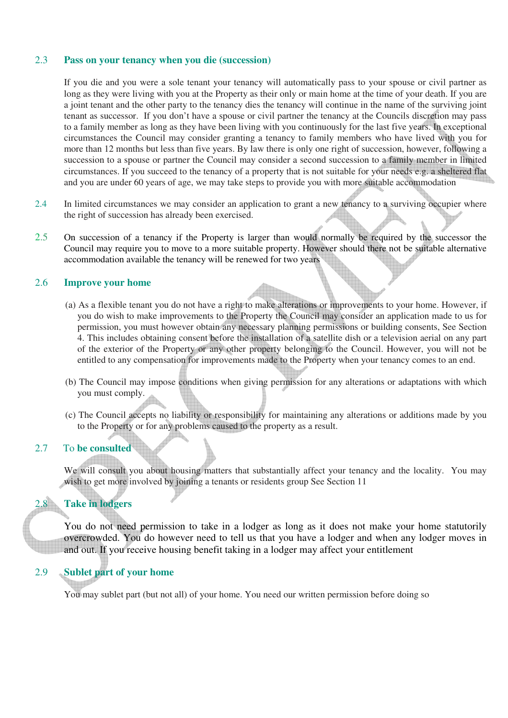#### 2.3 **Pass on your tenancy when you die (succession)**

If you die and you were a sole tenant your tenancy will automatically pass to your spouse or civil partner as long as they were living with you at the Property as their only or main home at the time of your death. If you are a joint tenant and the other party to the tenancy dies the tenancy will continue in the name of the surviving joint tenant as successor. If you don't have a spouse or civil partner the tenancy at the Councils discretion may pass to a family member as long as they have been living with you continuously for the last five years. In exceptional circumstances the Council may consider granting a tenancy to family members who have lived with you for more than 12 months but less than five years. By law there is only one right of succession, however, following a succession to a spouse or partner the Council may consider a second succession to a family member in limited circumstances. If you succeed to the tenancy of a property that is not suitable for your needs e.g. a sheltered flat and you are under 60 years of age, we may take steps to provide you with more suitable accommodation

- 2.4 In limited circumstances we may consider an application to grant a new tenancy to a surviving occupier where the right of succession has already been exercised.
- 2.5 On succession of a tenancy if the Property is larger than would normally be required by the successor the Council may require you to move to a more suitable property. However should there not be suitable alternative accommodation available the tenancy will be renewed for two years

#### 2.6 **Improve your home**

- (a) As a flexible tenant you do not have a right to make alterations or improvements to your home. However, if you do wish to make improvements to the Property the Council may consider an application made to us for permission, you must however obtain any necessary planning permissions or building consents, See Section 4. This includes obtaining consent before the installation of a satellite dish or a television aerial on any part of the exterior of the Property or any other property belonging to the Council. However, you will not be entitled to any compensation for improvements made to the Property when your tenancy comes to an end.
- (b) The Council may impose conditions when giving permission for any alterations or adaptations with which you must comply.
- (c) The Council accepts no liability or responsibility for maintaining any alterations or additions made by you to the Property or for any problems caused to the property as a result.

#### 2.7 To **be consulted**

We will consult you about housing matters that substantially affect your tenancy and the locality. You may wish to get more involved by joining a tenants or residents group See Section 11

### 2.8 **Take in lodgers**

You do not need permission to take in a lodger as long as it does not make your home statutorily overcrowded. You do however need to tell us that you have a lodger and when any lodger moves in and out. If you receive housing benefit taking in a lodger may affect your entitlement

#### 2.9 **Sublet part of your home**

You may sublet part (but not all) of your home. You need our written permission before doing so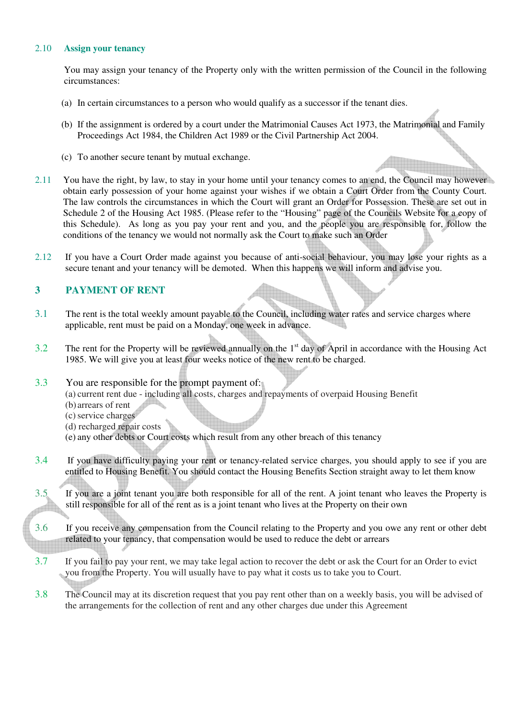#### 2.10 **Assign your tenancy**

You may assign your tenancy of the Property only with the written permission of the Council in the following circumstances:

- (a) In certain circumstances to a person who would qualify as a successor if the tenant dies.
- (b) If the assignment is ordered by a court under the Matrimonial Causes Act 1973, the Matrimonial and Family Proceedings Act 1984, the Children Act 1989 or the Civil Partnership Act 2004.
- (c) To another secure tenant by mutual exchange.
- 2.11 You have the right, by law, to stay in your home until your tenancy comes to an end, the Council may however obtain early possession of your home against your wishes if we obtain a Court Order from the County Court. The law controls the circumstances in which the Court will grant an Order for Possession. These are set out in Schedule 2 of the Housing Act 1985. (Please refer to the "Housing" page of the Councils Website for a copy of this Schedule). As long as you pay your rent and you, and the people you are responsible for, follow the conditions of the tenancy we would not normally ask the Court to make such an Order
- 2.12 If you have a Court Order made against you because of anti-social behaviour, you may lose your rights as a secure tenant and your tenancy will be demoted. When this happens we will inform and advise you.

#### **3 PAYMENT OF RENT**

- 3.1 The rent is the total weekly amount payable to the Council, including water rates and service charges where applicable, rent must be paid on a Monday, one week in advance.
- 3.2 The rent for the Property will be reviewed annually on the 1<sup>st</sup> day of April in accordance with the Housing Act 1985. We will give you at least four weeks notice of the new rent to be charged.
- 3.3 You are responsible for the prompt payment of:
	- (a) current rent due including all costs, charges and repayments of overpaid Housing Benefit
	- (b) arrears of rent
	- (c) service charges
	- (d) recharged repair costs
	- (e) any other debts or Court costs which result from any other breach of this tenancy
- 3.4 If you have difficulty paying your rent or tenancy-related service charges, you should apply to see if you are entitled to Housing Benefit. You should contact the Housing Benefits Section straight away to let them know
- 3.5 If you are a joint tenant you are both responsible for all of the rent. A joint tenant who leaves the Property is still responsible for all of the rent as is a joint tenant who lives at the Property on their own
- 3.6 If you receive any compensation from the Council relating to the Property and you owe any rent or other debt related to your tenancy, that compensation would be used to reduce the debt or arrears
- 3.7 If you fail to pay your rent, we may take legal action to recover the debt or ask the Court for an Order to evict you from the Property. You will usually have to pay what it costs us to take you to Court.
- 3.8 The Council may at its discretion request that you pay rent other than on a weekly basis, you will be advised of the arrangements for the collection of rent and any other charges due under this Agreement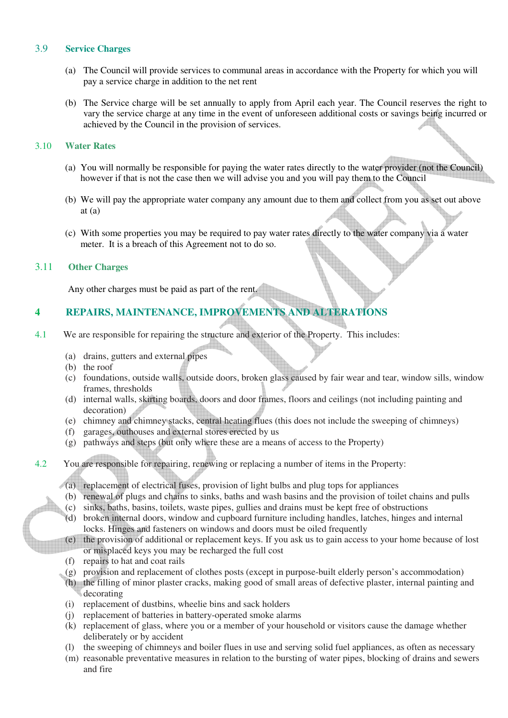#### 3.9 **Service Charges**

- (a) The Council will provide services to communal areas in accordance with the Property for which you will pay a service charge in addition to the net rent
- (b) The Service charge will be set annually to apply from April each year. The Council reserves the right to vary the service charge at any time in the event of unforeseen additional costs or savings being incurred or achieved by the Council in the provision of services.

#### 3.10 **Water Rates**

- (a) You will normally be responsible for paying the water rates directly to the water provider (not the Council) however if that is not the case then we will advise you and you will pay them to the Council
- (b) We will pay the appropriate water company any amount due to them and collect from you as set out above at  $(a)$
- (c) With some properties you may be required to pay water rates directly to the water company via a water meter. It is a breach of this Agreement not to do so.

#### 3.11 **Other Charges**

Any other charges must be paid as part of the rent.

## **4 REPAIRS, MAINTENANCE, IMPROVEMENTS AND ALTERATIONS**

- 4.1 We are responsible for repairing the structure and exterior of the Property. This includes:
	- (a) drains, gutters and external pipes
	- (b) the roof
	- (c) foundations, outside walls, outside doors, broken glass caused by fair wear and tear, window sills, window frames, thresholds
	- (d) internal walls, skirting boards, doors and door frames, floors and ceilings (not including painting and decoration)
	- (e) chimney and chimney stacks, central heating flues (this does not include the sweeping of chimneys)
	- (f) garages, outhouses and external stores erected by us
	- (g) pathways and steps (but only where these are a means of access to the Property)
- 4.2 You are responsible for repairing, renewing or replacing a number of items in the Property:

 $\sqrt{(a)}$  replacement of electrical fuses, provision of light bulbs and plug tops for appliances

- (b) renewal of plugs and chains to sinks, baths and wash basins and the provision of toilet chains and pulls
- (c) sinks, baths, basins, toilets, waste pipes, gullies and drains must be kept free of obstructions
- (d) broken internal doors, window and cupboard furniture including handles, latches, hinges and internal locks. Hinges and fasteners on windows and doors must be oiled frequently
- (e) the provision of additional or replacement keys. If you ask us to gain access to your home because of lost or misplaced keys you may be recharged the full cost
	- (f) repairs to hat and coat rails
- (g) provision and replacement of clothes posts (except in purpose-built elderly person's accommodation)
- (h) the filling of minor plaster cracks, making good of small areas of defective plaster, internal painting and decorating
- (i) replacement of dustbins, wheelie bins and sack holders
- (j) replacement of batteries in battery-operated smoke alarms
- (k) replacement of glass, where you or a member of your household or visitors cause the damage whether deliberately or by accident
- (l) the sweeping of chimneys and boiler flues in use and serving solid fuel appliances, as often as necessary
- (m) reasonable preventative measures in relation to the bursting of water pipes, blocking of drains and sewers and fire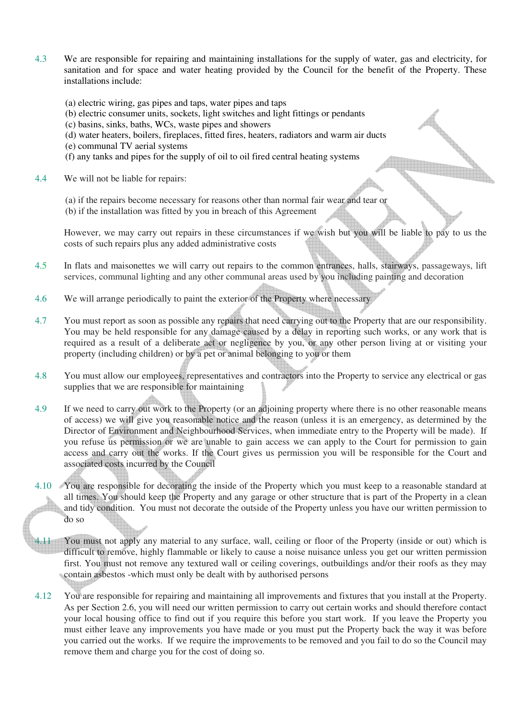- 4.3 We are responsible for repairing and maintaining installations for the supply of water, gas and electricity, for sanitation and for space and water heating provided by the Council for the benefit of the Property. These installations include:
	- (a) electric wiring, gas pipes and taps, water pipes and taps
	- (b) electric consumer units, sockets, light switches and light fittings or pendants
	- (c) basins, sinks, baths, WCs, waste pipes and showers
	- (d) water heaters, boilers, fireplaces, fitted fires, heaters, radiators and warm air ducts
	- (e) communal TV aerial systems
	- (f) any tanks and pipes for the supply of oil to oil fired central heating systems
- 4.4 We will not be liable for repairs:
	- (a) if the repairs become necessary for reasons other than normal fair wear and tear or
	- (b) if the installation was fitted by you in breach of this Agreement

However, we may carry out repairs in these circumstances if we wish but you will be liable to pay to us the costs of such repairs plus any added administrative costs

Concert of the Concert of the Concert of

- 4.5 In flats and maisonettes we will carry out repairs to the common entrances, halls, stairways, passageways, lift services, communal lighting and any other communal areas used by you including painting and decoration
- 4.6 We will arrange periodically to paint the exterior of the Property where necessary
- 4.7 You must report as soon as possible any repairs that need carrying out to the Property that are our responsibility. You may be held responsible for any damage caused by a delay in reporting such works, or any work that is required as a result of a deliberate act or negligence by you, or any other person living at or visiting your property (including children) or by a pet or animal belonging to you or them
- 4.8 You must allow our employees, representatives and contractors into the Property to service any electrical or gas supplies that we are responsible for maintaining
- 4.9 If we need to carry out work to the Property (or an adjoining property where there is no other reasonable means of access) we will give you reasonable notice and the reason (unless it is an emergency, as determined by the Director of Environment and Neighbourhood Services, when immediate entry to the Property will be made). If you refuse us permission or we are unable to gain access we can apply to the Court for permission to gain access and carry out the works. If the Court gives us permission you will be responsible for the Court and associated costs incurred by the Council
- 4.10 You are responsible for decorating the inside of the Property which you must keep to a reasonable standard at all times. You should keep the Property and any garage or other structure that is part of the Property in a clean and tidy condition. You must not decorate the outside of the Property unless you have our written permission to do so
- 4.11 You must not apply any material to any surface, wall, ceiling or floor of the Property (inside or out) which is difficult to remove, highly flammable or likely to cause a noise nuisance unless you get our written permission first. You must not remove any textured wall or ceiling coverings, outbuildings and/or their roofs as they may contain asbestos -which must only be dealt with by authorised persons
- 4.12 You are responsible for repairing and maintaining all improvements and fixtures that you install at the Property. As per Section 2.6, you will need our written permission to carry out certain works and should therefore contact your local housing office to find out if you require this before you start work. If you leave the Property you must either leave any improvements you have made or you must put the Property back the way it was before you carried out the works. If we require the improvements to be removed and you fail to do so the Council may remove them and charge you for the cost of doing so.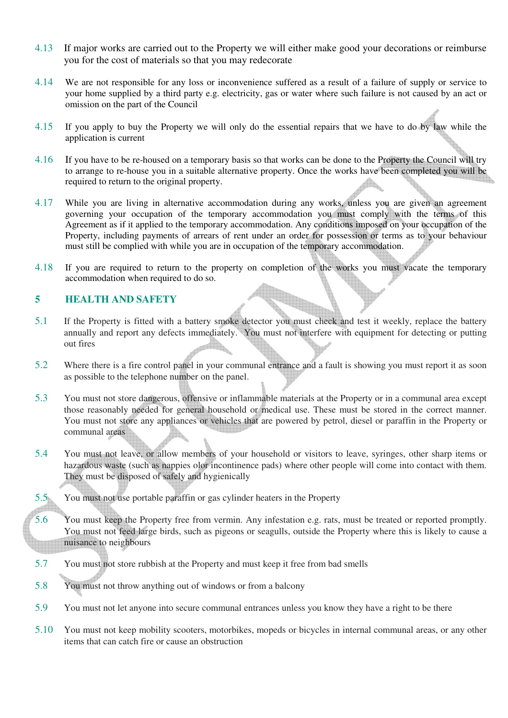- 4.13 If major works are carried out to the Property we will either make good your decorations or reimburse you for the cost of materials so that you may redecorate
- 4.14 We are not responsible for any loss or inconvenience suffered as a result of a failure of supply or service to your home supplied by a third party e.g. electricity, gas or water where such failure is not caused by an act or omission on the part of the Council
- 4.15 If you apply to buy the Property we will only do the essential repairs that we have to do by law while the application is current
- 4.16 If you have to be re-housed on a temporary basis so that works can be done to the Property the Council will try to arrange to re-house you in a suitable alternative property. Once the works have been completed you will be required to return to the original property.
- 4.17 While you are living in alternative accommodation during any works, unless you are given an agreement governing your occupation of the temporary accommodation you must comply with the terms of this Agreement as if it applied to the temporary accommodation. Any conditions imposed on your occupation of the Property, including payments of arrears of rent under an order for possession or terms as to your behaviour must still be complied with while you are in occupation of the temporary accommodation.
- 4.18 If you are required to return to the property on completion of the works you must vacate the temporary accommodation when required to do so.

#### **5 HEALTH AND SAFETY**

- 5.1 If the Property is fitted with a battery smoke detector you must check and test it weekly, replace the battery annually and report any defects immediately. You must not interfere with equipment for detecting or putting out fires
- 5.2 Where there is a fire control panel in your communal entrance and a fault is showing you must report it as soon as possible to the telephone number on the panel.
- 5.3 You must not store dangerous, offensive or inflammable materials at the Property or in a communal area except those reasonably needed for general household or medical use. These must be stored in the correct manner. You must not store any appliances or vehicles that are powered by petrol, diesel or paraffin in the Property or communal areas
- 5.4 You must not leave, or allow members of your household or visitors to leave, syringes, other sharp items or hazardous waste (such as nappies olor incontinence pads) where other people will come into contact with them. They must be disposed of safely and hygienically
- 5.5 You must not use portable paraffin or gas cylinder heaters in the Property
- 5.6 You must keep the Property free from vermin. Any infestation e.g. rats, must be treated or reported promptly. You must not feed large birds, such as pigeons or seagulls, outside the Property where this is likely to cause a nuisance to neighbours
- 5.7 You must not store rubbish at the Property and must keep it free from bad smells
- 5.8 You must not throw anything out of windows or from a balcony
- 5.9 You must not let anyone into secure communal entrances unless you know they have a right to be there
- 5.10 You must not keep mobility scooters, motorbikes, mopeds or bicycles in internal communal areas, or any other items that can catch fire or cause an obstruction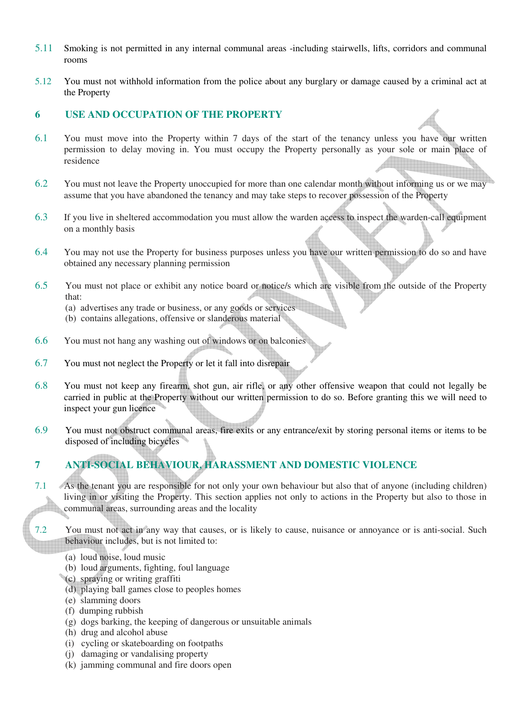- 5.11 Smoking is not permitted in any internal communal areas -including stairwells, lifts, corridors and communal rooms
- 5.12 You must not withhold information from the police about any burglary or damage caused by a criminal act at the Property

#### **6 USE AND OCCUPATION OF THE PROPERTY**

- 6.1 You must move into the Property within 7 days of the start of the tenancy unless you have our written permission to delay moving in. You must occupy the Property personally as your sole or main place of residence
- 6.2 You must not leave the Property unoccupied for more than one calendar month without informing us or we may assume that you have abandoned the tenancy and may take steps to recover possession of the Property
- 6.3 If you live in sheltered accommodation you must allow the warden access to inspect the warden-call equipment on a monthly basis
- 6.4 You may not use the Property for business purposes unless you have our written permission to do so and have obtained any necessary planning permission
- 6.5 You must not place or exhibit any notice board or notice/s which are visible from the outside of the Property that:
	- (a) advertises any trade or business, or any goods or services
	- (b) contains allegations, offensive or slanderous material
- 6.6 You must not hang any washing out of windows or on balconies
- 6.7 You must not neglect the Property or let it fall into disrepair
- 6.8 You must not keep any firearm, shot gun, air rifle, or any other offensive weapon that could not legally be carried in public at the Property without our written permission to do so. Before granting this we will need to inspect your gun licence
- 6.9 You must not obstruct communal areas, fire exits or any entrance/exit by storing personal items or items to be disposed of including bicycles

## **7 ANTI-SOCIAL BEHAVIOUR, HARASSMENT AND DOMESTIC VIOLENCE**

- 7.1 As the tenant you are responsible for not only your own behaviour but also that of anyone (including children) living in or visiting the Property. This section applies not only to actions in the Property but also to those in  $\overline{1}$ communal areas, surrounding areas and the locality
- 7.2 You must not act in any way that causes, or is likely to cause, nuisance or annoyance or is anti-social. Such behaviour includes, but is not limited to:
	- (a) loud noise, loud music
	- (b) loud arguments, fighting, foul language
	- (c) spraying or writing graffiti
	- (d) playing ball games close to peoples homes
	- (e) slamming doors
	- (f) dumping rubbish
	- (g) dogs barking, the keeping of dangerous or unsuitable animals
	- (h) drug and alcohol abuse
	- (i) cycling or skateboarding on footpaths
	- (j) damaging or vandalising property
	- (k) jamming communal and fire doors open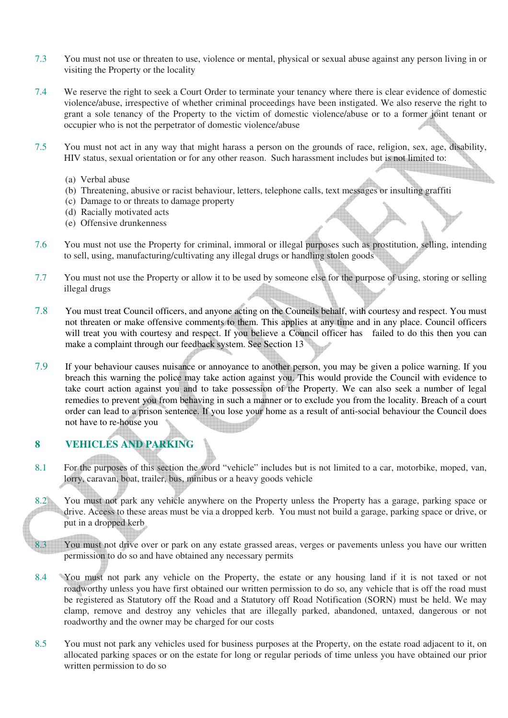- 7.3 You must not use or threaten to use, violence or mental, physical or sexual abuse against any person living in or visiting the Property or the locality
- 7.4 We reserve the right to seek a Court Order to terminate your tenancy where there is clear evidence of domestic violence/abuse, irrespective of whether criminal proceedings have been instigated. We also reserve the right to grant a sole tenancy of the Property to the victim of domestic violence/abuse or to a former joint tenant or occupier who is not the perpetrator of domestic violence/abuse
- 7.5 You must not act in any way that might harass a person on the grounds of race, religion, sex, age, disability, HIV status, sexual orientation or for any other reason. Such harassment includes but is not limited to:
	- (a) Verbal abuse
	- (b) Threatening, abusive or racist behaviour, letters, telephone calls, text messages or insulting graffiti
	- (c) Damage to or threats to damage property
	- (d) Racially motivated acts
	- (e) Offensive drunkenness
- 7.6 You must not use the Property for criminal, immoral or illegal purposes such as prostitution, selling, intending to sell, using, manufacturing/cultivating any illegal drugs or handling stolen goods
- 7.7 You must not use the Property or allow it to be used by someone else for the purpose of using, storing or selling illegal drugs
- 7.8 You must treat Council officers, and anyone acting on the Councils behalf, with courtesy and respect. You must not threaten or make offensive comments to them. This applies at any time and in any place. Council officers will treat you with courtesy and respect. If you believe a Council officer has failed to do this then you can make a complaint through our feedback system. See Section 13
- 7.9 If your behaviour causes nuisance or annoyance to another person, you may be given a police warning. If you breach this warning the police may take action against you. This would provide the Council with evidence to take court action against you and to take possession of the Property. We can also seek a number of legal remedies to prevent you from behaving in such a manner or to exclude you from the locality. Breach of a court order can lead to a prison sentence. If you lose your home as a result of anti-social behaviour the Council does not have to re-house you

## **8 VEHICLES AND PARKING**

- 8.1 For the purposes of this section the word "vehicle" includes but is not limited to a car, motorbike, moped, van, lorry, caravan, boat, trailer, bus, minibus or a heavy goods vehicle
- 8.2 You must not park any vehicle anywhere on the Property unless the Property has a garage, parking space or drive. Access to these areas must be via a dropped kerb. You must not build a garage, parking space or drive, or put in a dropped kerb
- 8.3 You must not drive over or park on any estate grassed areas, verges or pavements unless you have our written permission to do so and have obtained any necessary permits
- 8.4 You must not park any vehicle on the Property, the estate or any housing land if it is not taxed or not roadworthy unless you have first obtained our written permission to do so, any vehicle that is off the road must be registered as Statutory off the Road and a Statutory off Road Notification (SORN) must be held. We may clamp, remove and destroy any vehicles that are illegally parked, abandoned, untaxed, dangerous or not roadworthy and the owner may be charged for our costs
- 8.5 You must not park any vehicles used for business purposes at the Property, on the estate road adjacent to it, on allocated parking spaces or on the estate for long or regular periods of time unless you have obtained our prior written permission to do so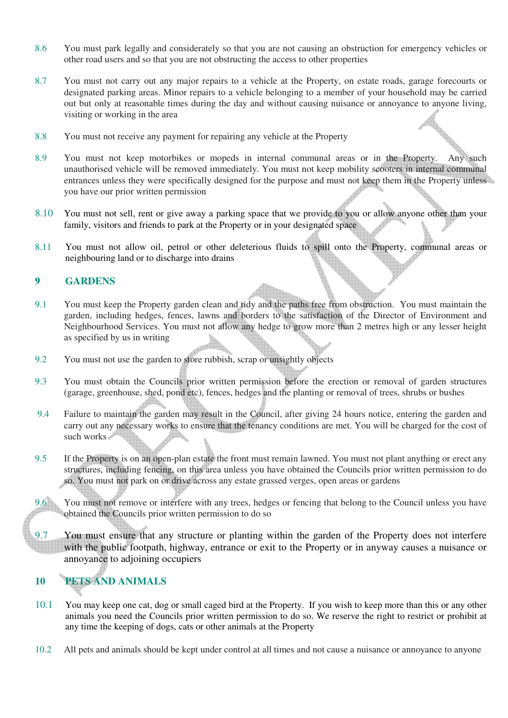- 8.6 You must park legally and considerately so that you are not causing an obstruction for emergency vehicles or other road users and so that you are not obstructing the access to other properties
- 8.7 You must not carry out any major repairs to a vehicle at the Property, on estate roads, garage forecourts or designated parking areas. Minor repairs to a vehicle belonging to a member of your household may be carried out but only at reasonable times during the day and without causing nuisance or annoyance to anyone living, visiting or working in the area
- 8.8 You must not receive any payment for repairing any vehicle at the Property
- 8.9 You must not keep motorbikes or mopeds in internal communal areas or in the Property. Any such unauthorised vehicle will be removed immediately. You must not keep mobility scooters in internal communal entrances unless they were specifically designed for the purpose and must not keep them in the Property unless you have our prior written permission
- 8.10 You must not sell, rent or give away a parking space that we provide to you or allow anyone other than your family, visitors and friends to park at the Property or in your designated space
- 8.11 You must not allow oil, petrol or other deleterious fluids to spill onto the Property, communal areas or neighbouring land or to discharge into drains

#### **9 GARDENS**

- 9.1 You must keep the Property garden clean and tidy and the paths free from obstruction. You must maintain the garden, including hedges, fences, lawns and borders to the satisfaction of the Director of Environment and Neighbourhood Services. You must not allow any hedge to grow more than 2 metres high or any lesser height as specified by us in writing
- 9.2 You must not use the garden to store rubbish, scrap or unsightly objects
- 9.3 You must obtain the Councils prior written permission before the erection or removal of garden structures (garage, greenhouse, shed, pond etc), fences, hedges and the planting or removal of trees, shrubs or bushes
- 9.4 Failure to maintain the garden may result in the Council, after giving 24 hours notice, entering the garden and carry out any necessary works to ensure that the tenancy conditions are met. You will be charged for the cost of such works
- 9.5 If the Property is on an open-plan estate the front must remain lawned. You must not plant anything or erect any structures, including fencing, on this area unless you have obtained the Councils prior written permission to do so. You must not park on or drive across any estate grassed verges, open areas or gardens
- 9.6 You must not remove or interfere with any trees, hedges or fencing that belong to the Council unless you have obtained the Councils prior written permission to do so
- 9.7 You must ensure that any structure or planting within the garden of the Property does not interfere with the public footpath, highway, entrance or exit to the Property or in anyway causes a nuisance or annoyance to adjoining occupiers

## **10 PETS AND ANIMALS**

- 10.1 You may keep one cat, dog or small caged bird at the Property. If you wish to keep more than this or any other animals you need the Councils prior written permission to do so. We reserve the right to restrict or prohibit at any time the keeping of dogs, cats or other animals at the Property
- 10.2 All pets and animals should be kept under control at all times and not cause a nuisance or annoyance to anyone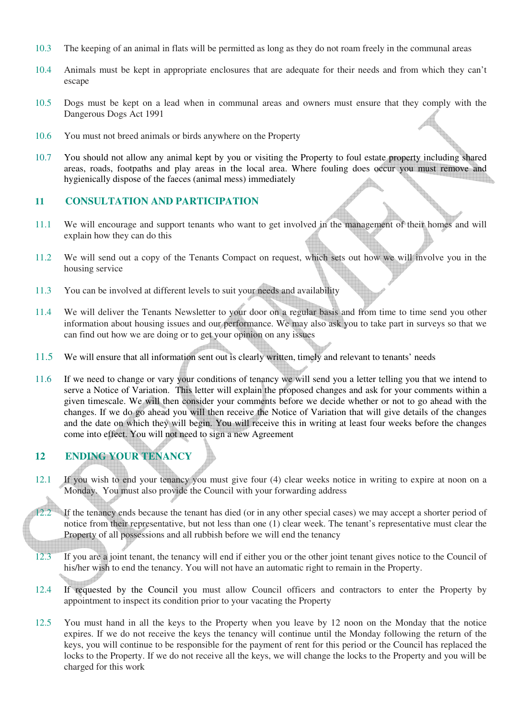- 10.3 The keeping of an animal in flats will be permitted as long as they do not roam freely in the communal areas
- 10.4 Animals must be kept in appropriate enclosures that are adequate for their needs and from which they can't escape
- 10.5 Dogs must be kept on a lead when in communal areas and owners must ensure that they comply with the Dangerous Dogs Act 1991
- 10.6 You must not breed animals or birds anywhere on the Property
- 10.7 You should not allow any animal kept by you or visiting the Property to foul estate property including shared areas, roads, footpaths and play areas in the local area. Where fouling does occur you must remove and hygienically dispose of the faeces (animal mess) immediately

#### **11 CONSULTATION AND PARTICIPATION**

- 11.1 We will encourage and support tenants who want to get involved in the management of their homes and will explain how they can do this
- 11.2 We will send out a copy of the Tenants Compact on request, which sets out how we will involve you in the housing service
- 11.3 You can be involved at different levels to suit your needs and availability
- 11.4 We will deliver the Tenants Newsletter to your door on a regular basis and from time to time send you other information about housing issues and our performance. We may also ask you to take part in surveys so that we can find out how we are doing or to get your opinion on any issues
- 11.5 We will ensure that all information sent out is clearly written, timely and relevant to tenants' needs
- 11.6 If we need to change or vary your conditions of tenancy we will send you a letter telling you that we intend to serve a Notice of Variation. This letter will explain the proposed changes and ask for your comments within a given timescale. We will then consider your comments before we decide whether or not to go ahead with the changes. If we do go ahead you will then receive the Notice of Variation that will give details of the changes and the date on which they will begin. You will receive this in writing at least four weeks before the changes come into effect. You will not need to sign a new Agreement

## **12 ENDING YOUR TENANCY**

12.1 If you wish to end your tenancy you must give four (4) clear weeks notice in writing to expire at noon on a Monday. You must also provide the Council with your forwarding address

If the tenancy ends because the tenant has died (or in any other special cases) we may accept a shorter period of notice from their representative, but not less than one (1) clear week. The tenant's representative must clear the Property of all possessions and all rubbish before we will end the tenancy

- 12.3 If you are a joint tenant, the tenancy will end if either you or the other joint tenant gives notice to the Council of his/her wish to end the tenancy. You will not have an automatic right to remain in the Property.
- 12.4 If requested by the Council you must allow Council officers and contractors to enter the Property by appointment to inspect its condition prior to your vacating the Property
- 12.5 You must hand in all the keys to the Property when you leave by 12 noon on the Monday that the notice expires. If we do not receive the keys the tenancy will continue until the Monday following the return of the keys, you will continue to be responsible for the payment of rent for this period or the Council has replaced the locks to the Property. If we do not receive all the keys, we will change the locks to the Property and you will be charged for this work